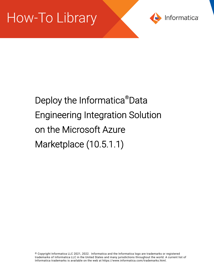

# Deploy the Informatica®Data Engineering Integration Solution on the Microsoft Azure Marketplace (10.5.1.1)

© Copyright Informatica LLC 2021, 2022. Informatica and the Informatica logo are trademarks or registered trademarks of Informatica LLC in the United States and many jurisdictions throughout the world. A current list of Informatica trademarks is available on the web at https://www.informatica.com/trademarks.html.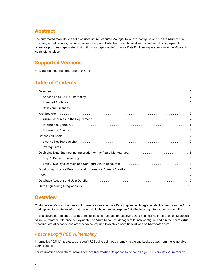# **Abstract**

The automated marketplace solution uses Azure Resource Manager to launch, configure, and run the Azure virtual machine, virtual network, and other services required to deploy a specific workload on Azure. This deployment reference provides step-by-step instructions for deploying Informatica Data Engineering Integration on the Microsoft Azure Marketplace.

# **Supported Versions**

**•** Data Engineering Integration 10.5.1.1

# **Table of Contents**

### **Overview**

Customers of Microsoft Azure and Informatica can execute a Data Engineering Integration deployment from the Azure marketplace to create an Informatica domain in the Azure and explore Data Engineering Integration functionality.

This deployment reference provides step-by-step instructions for deploying Data Engineering Integration on Microsoft Azure. Automated reference deployments use Azure Resource Manager to launch, configure, and run the Azure virtual machine, virtual network, and other services required to deploy a specific workload on Microsoft Azure.

### *Apache Log4j RCE Vulnerability*

Informatica 10.5.1.1 addresses the Log4j RCE vulnerabilities by removing the JndiLookup class from the vulnerable Log4j libraries.

For information about the vulnerabilities, see Informatica Response to Apache Log4j RCE Zero Day [Vulnerability](https://network.informatica.com/community/informatica-network/blog/2021/12/10/log4j-vulnerability-update).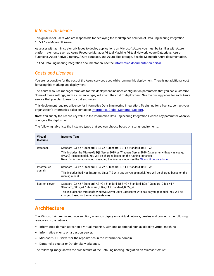### <span id="page-2-0"></span>*Intended Audience*

This guide is for users who are responsible for deploying the marketplace solution of Data Engineering Integration 10.5.1.1 on Microsoft Azure.

As a user with administrator privileges to deploy applications on Microsoft Azure, you must be familiar with Azure platform elements such as Azure Resource Manager, Virtual Machine, Virtual Network, Azure Databricks, Azure Functions, Azure Active Directory, Azure database, and Azure Blob storage. See the Microsoft Azure documentation.

To find Data Engineering Integration documentation, see the Informatica [documentation](https://docs.informatica.com/data-engineering/data-engineering-integration/10-5.html) portal.

### *Costs and Licenses*

You are responsible for the cost of the Azure services used while running this deployment. There is no additional cost for using this marketplace deployment.

The Azure resource manager template for this deployment includes configuration parameters that you can customize. Some of these settings, such as instance type, will affect the cost of deployment. See the pricing pages for each Azure service that you plan to use for cost estimates.

This deployment requires a license for Informatica Data Engineering Integration. To sign up for a license, contact your organization's Informatica sales contact or [Informatica](https://www.informatica.com/services-and-training/customer-success-services/contact-us.html) Global Customer Support.

**Note:** You supply the license key value in the Informatica Data Engineering Integration License Key parameter when you configure the deployment.

| <b>Virtual</b><br><b>Machine</b> | <b>Instance Type</b>                                                                                                                                                                                                                                                                                                                            |
|----------------------------------|-------------------------------------------------------------------------------------------------------------------------------------------------------------------------------------------------------------------------------------------------------------------------------------------------------------------------------------------------|
| Database                         | Standard_D3_v2 / Standard_DS4_v2 / Standard_DS11 / Standard_DS11_v2<br>This includes the Microsoft SQL Server 2019 on Windows Server 2019 Datacenter with pay as you go<br>(PAYG) license model. You will be charged based on the running instances.<br>Note: For information about changing the license mode, see the Microsoft documentation. |
| Informatica<br>domain            | Standard_D4_v2 / Standard_DS4_v2 / Standard_DS11 / Standard_DS11_v2.<br>This includes Red Hat Enterprise Linux 7.9 with pay as you go model. You will be charged based on the<br>running model.                                                                                                                                                 |
| <b>Bastion server</b>            | Standard_D2_v2 / Standard_A2_v2 / Standard_DS2_v2 / Standard_B2s / Standard_D4ds_v4 /<br>Standard D8ds v4 / Standard D16s v4 / Standard D32s v4.<br>This includes the Microsoft Windows Server 2019 Datacenter with pay as you go model. You will be<br>charged based on the running instances.                                                 |

The following table lists the instance types that you can choose based on sizing requirements:

# **Architecture**

The Microsoft Azure marketplace solution, when you deploy on a virtual network, creates and connects the following resources in the network:

- **•** Informatica domain server on a virtual machine, with one additional high availability virtual machine.
- **•** Informatica clients on a bastion server.
- **•** Microsoft SQL Server for the repositories in the Informatica domain.
- **•** Databricks cluster or Databricks workspace.

The following image shows the architecture of the Data Engineering Integration on Microsoft Azure: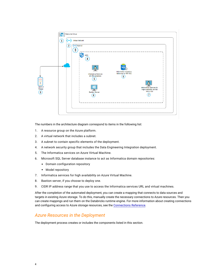<span id="page-3-0"></span>

The numbers in the architecture diagram correspond to items in the following list:

- 1. A resource group on the Azure platform.
- 2. A virtual network that includes a subnet.
- 3. A subnet to contain specific elements of the deployment.
- 4. A network security group that includes the Data Engineering Integration deployment.
- 5. The Informatica services on Azure Virtual Machine.
- 6. Microsoft SQL Server database instance to act as Informatica domain repositories:
	- **•** Domain configuration repository
	- **•** Model repository
- 7. Informatica services for high availability on Azure Virtual Machine.
- 8. Bastion server, if you choose to deploy one.
- 9. CIDR IP address range that you use to access the Informatica services URL and virtual machines.

After the completion of the automated deployment, you can create a mapping that connects to data sources and targets in existing Azure storage. To do this, manually create the necessary connections to Azure resources. Then you can create mappings and run them on the Databricks runtime engine. For more information about creating connections and configuring access to Azure storage resources, see the [Connections](https://docs.informatica.com/data-engineering/shared-content-for-data-engineering/10-5/administrator-guide/connections.html) Reference.

### *Azure Resources in the Deployment*

The deployment process creates or includes the components listed in this section.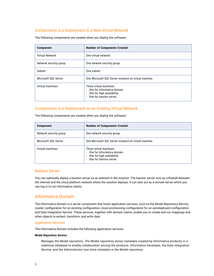### <span id="page-4-0"></span>Components in a Deployment in a New Virtual Network

The following components are created when you deploy the software:

| <b>Component</b>       | <b>Number of Components Created</b>                                                                                   |
|------------------------|-----------------------------------------------------------------------------------------------------------------------|
| Virtual Network        | One virtual network.                                                                                                  |
| Network security group | One network security group.                                                                                           |
| Subnet                 | One subnet.                                                                                                           |
| Microsoft SQL Server   | One Microsoft SQL Server instance on virtual machine.                                                                 |
| Virtual machines       | Three virtual machines:<br>- One for Informatica domain.<br>- One for high availability.<br>- One for bastion server. |

### Components in a Deployment on an Existing Virtual Network

| <b>Component</b>       | <b>Number of Components Created</b>                                                                               |
|------------------------|-------------------------------------------------------------------------------------------------------------------|
| Network security group | One network security group.                                                                                       |
| Microsoft SQL Server   | One Microsoft SQL Server instance on virtual machine.                                                             |
| Virtual machines       | Three virtual machines:<br>One for Informatica domain.<br>One for high availability.<br>- One for bastion server. |

The following components are created when you deploy the software:

### Bastion Server

You can optionally deploy a bastion server as an element in the solution. The bastion server acts as a firewall between the internet and the cloud platform network where the solution deploys. It can also act as a remote server which you can log in to run Informatica clients.

### *Informatica Domain*

The Informatica domain is a server component that hosts application services, such as the Model Repository Service, cluster configuration for an existing configuration, cloud provisioning configuration for an autodeployed configuration, and Data Integration Service. These services, together with domain clients, enable you to create and run mappings and other objects to extract, transform, and write data.

### Application Services

The Informatica domain includes the following application services:

### **Model Repository Service**

Manages the Model repository. The Model repository stores metadata created by Informatica products in a relational database to enable collaboration among the products. Informatica Developer, the Data Integration Service, and the Administrator tool store metadata in the Model repository.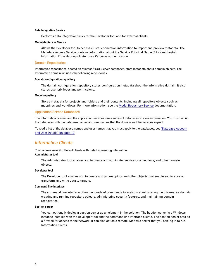#### <span id="page-5-0"></span>**Data Integration Service**

Performs data integration tasks for the Developer tool and for external clients.

#### **Metadata Access Service**

Allows the Developer tool to access cluster connection information to import and preview metadata. The Metadata Access Service contains information about the Service Principal Name (SPN) and keytab information if the Hadoop cluster uses Kerberos authentication.

#### Domain Repositories

Informatica repositories, hosted on Microsoft SQL Server databases, store metadata about domain objects. The Informatica domain includes the following repositories:

#### **Domain configuration repository**

The domain configuration repository stores configuration metadata about the Informatica domain. It also stores user privileges and permissions.

#### **Model repository**

Stores metadata for projects and folders and their contents, including all repository objects such as mappings and workflows. For more information, see the Model [Repository](https://docs.informatica.com/big-data-management/shared-content-for-data-engineering/10-5/application-service-guide/model-repository-service.html) Service documentation.

#### Application Service Databases

The Informatica domain and the application services use a series of databases to store information. You must set up the databases with the database names and user names that the domain and the services expect.

To read a list of the database names and user names that you must apply to the databases, see ["Database](#page-11-0) Account and User [Details"](#page-11-0) on page 12.

### *Informatica Clients*

You can use several different clients with Data Engineering Integration: **Administrator tool**

The Administrator tool enables you to create and administer services, connections, and other domain objects.

#### **Developer tool**

The Developer tool enables you to create and run mappings and other objects that enable you to access, transform, and write data to targets.

### **Command line interface**

The command line interface offers hundreds of commands to assist in administering the Informatica domain, creating and running repository objects, administering security features, and maintaining domain repositories.

### **Bastion server**

You can optionally deploy a bastion server as an element in the solution. The bastion server is a Windows instance installed with the Developer tool and the command line interface clients. The bastion server acts as a firewall for access to the network. It can also act as a remote Windows server that you can log in to run Informatica clients.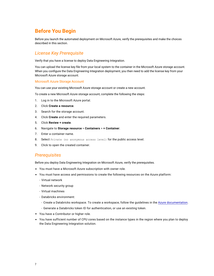# <span id="page-6-0"></span>**Before You Begin**

Before you launch the automated deployment on Microsoft Azure, verify the prerequisites and make the choices described in this section.

### *License Key Prerequisite*

Verify that you have a license to deploy Data Engineering Integration.

You can upload the license key file from your local system to the container in the Microsoft Azure storage account. When you configure the Data Engineering Integration deployment, you then need to add the license key from your Microsoft Azure storage account.

### Microsoft Azure Storage Account

You can use your existing Microsoft Azure storage account or create a new account.

To create a new Microsoft Azure storage account, complete the following the steps:

- 1. Log in to the Microsoft Azure portal.
- 2. Click **Create a resource**.
- 3. Search for the storage account.
- 4. Click **Create** and enter the required parameters.
- 5. Click **Review + create**.
- 6. Navigate to **Storage resource** > **Containers** > **+ Container**.
- 7. Enter a container name.
- 8. Select Private (no anonymous access level) for the public access level.
- 9. Click to open the created container.

### *Prerequisites*

Before you deploy Data Engineering Integration on Microsoft Azure, verify the prerequisites.

- **•** You must have a Microsoft Azure subscription with owner role.
- **•** You must have access and permissions to create the following resources on the Azure platform:
	- Virtual network
	- Network security group
	- Virtual machines
	- Databricks environment:
	- Create a Databricks workspace. To create a workspace, follow the guidelines in the Azure [documentation.](https://docs.microsoft.com/en-us/azure/azure-databricks/quickstart-create-databricks-workspace-portal?toc=/azure/databricks/toc.json&bc=/azure/databricks/breadcrumb/toc.json)
	- Generate a Databricks token ID for authentication, or use an existing token.
- **•** You have a Contributor or higher role.
- **•** You have sufficient number of CPU cores based on the instance types in the region where you plan to deploy the Data Engineering Integration solution.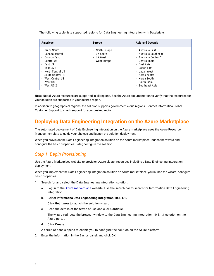<span id="page-7-0"></span>The following table lists supported regions for Data Engineering Integration with Databricks:

| <b>Americas</b>                                                                                                                                                                                                                                                                                                                                                                                                                | <b>Europe</b>                                                                        | <b>Asia and Oceania</b>                                                                                                                                                                                                                                                                                                                                         |
|--------------------------------------------------------------------------------------------------------------------------------------------------------------------------------------------------------------------------------------------------------------------------------------------------------------------------------------------------------------------------------------------------------------------------------|--------------------------------------------------------------------------------------|-----------------------------------------------------------------------------------------------------------------------------------------------------------------------------------------------------------------------------------------------------------------------------------------------------------------------------------------------------------------|
| Brazil South<br>$\blacksquare$<br>Canada central<br>$\blacksquare$<br>Canada East<br>$\overline{\phantom{a}}$<br>Central US<br>$\overline{\phantom{a}}$<br>East US<br>$\overline{\phantom{a}}$<br>East US 2<br>$\overline{\phantom{a}}$<br>North Central US<br>$\overline{\phantom{a}}$<br>South Central US<br>$\blacksquare$<br>West Central US<br>$\blacksquare$<br>West US<br>$\blacksquare$<br>West US 2<br>$\blacksquare$ | - North Europe<br>- UK South<br>- UK West<br>West Europe<br>$\overline{\phantom{a}}$ | - Australia East<br>- Australia Southeast<br>- Australia Central 2<br>Central India<br>$\overline{\phantom{a}}$<br>- East Asia<br>Japan East<br>$\overline{\phantom{a}}$<br>Japan West<br>$\overline{\phantom{a}}$<br>Korea central<br>$\blacksquare$<br>Korea South<br>$\overline{\phantom{a}}$<br>- South India<br>Southeast Asia<br>$\overline{\phantom{a}}$ |

**Note:** Not all Azure resources are supported in all regions. See the Azure documentation to verify that the resources for your solution are supported in your desired region.

In addition to geographical regions, the solution supports government cloud regions. Contact Informatica Global Customer Support to check support for your desired region.

# **Deploying Data Engineering Integration on the Azure Marketplace**

The automated deployment of Data Engineering Integration on the Azure marketplace uses the Azure Resource Manager template to guide your choices and launch the solution deployment.

When you provision the Data Engineering Integration solution on the Azure marketplace, launch the wizard and configure the basic properties. Later, configure the solution.

### *Step 1. Begin Provisioning*

Use the Azure Marketplace website to provision Azure cluster resources including a Data Engineering Integration deployment.

When you implement the Data Engineering Integration solution on Azure marketplace, you launch the wizard, configure basic properties.

- 1. Search for and select the Data Engineering Integration solution.
	- a. Log in to the Azure [marketplace](https://azuremarketplace.microsoft.com) website. Use the search bar to search for Informatica Data Engineering Integration.
	- b. Select **Informatica Data Engineering Integration 10.5.1.1.**

Click **Get it now** to launch the solution wizard.

c. Read the details of the terms of use and click **Continue**.

The wizard redirects the browser window to the Data Engineering Integration 10.5.1.1 solution on the Azure portal.

d. Click **Create**.

A series of panels opens to enable you to configure the solution on the Azure platform.

2. Enter the information in the Basics panel, and click **OK**.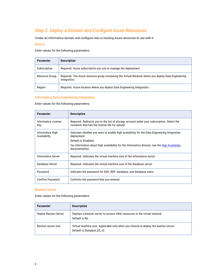# <span id="page-8-0"></span>**Step 2. Deploy a Domain and Configure Azure Resources**

Create an Informatica domain and configure new or existing Azure resources to use with it.

### **Basics**

Enter values for the following parameters:

| <b>Parameter</b> | <b>Description</b>                                                                                                  |
|------------------|---------------------------------------------------------------------------------------------------------------------|
| Subscription     | Required. Azure subscription you use to manage the deployment.                                                      |
| Resource Group   | Required. The Azure resource group containing the Virtual Network where you deploy Data Engineering<br>Integration. |
| Region           | Required. Azure location where you deploy Data Engineering Integration.                                             |

### Informatica Data Engineering Integration

Enter values for the following parameters:

| <b>Parameter</b>                 | <b>Description</b>                                                                                                                            |
|----------------------------------|-----------------------------------------------------------------------------------------------------------------------------------------------|
| Informatica License<br>Key       | Required. Redirects you to the list of storage account under your subscription. Select the<br>container that has the license file for upload. |
| Informatica High<br>Availability | Indicates whether you want to enable high availability for the Data Engineering Integration<br>deployment.                                    |
|                                  | Default is Disabled.                                                                                                                          |
|                                  | For information about high availability for the Informatica domain, see the High Availability<br>documentation.                               |
| Informatica Server               | Required. Indicates the virtual machine size of the Informatica server.                                                                       |
| Database Server                  | Required. Indicates the virtual machine size of the database server.                                                                          |
| Password                         | Indicates the password for SSH, RDP, database, and database users.                                                                            |
| Confirm Password                 | Confirms the password that you entered.                                                                                                       |

### Bastion Server

Enter values for the following parameters:

| <b>Parameter</b>             | <b>Description</b>                                                                                                |
|------------------------------|-------------------------------------------------------------------------------------------------------------------|
| <b>Deploy Bastion Server</b> | Deploys a bastion server to access other resources in the virtual network.<br>Default is No.                      |
| Bastion server size          | Virtual machine size. Applicable only when you choose to deploy the bastion server.<br>Default is Standard_D2_v2. |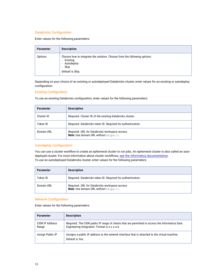### Databricks Configuration

Enter values for the following parameters:

| <b>Parameter</b> | <b>Description</b>                                                                                                                                             |
|------------------|----------------------------------------------------------------------------------------------------------------------------------------------------------------|
| Options          | Choose how to integrate the solution. Choose from the following options:<br>- Existing<br>- Autodeploy<br>Skip<br>$\overline{\phantom{a}}$<br>Default is Skip. |

Depending on your choice of an existing or autodeployed Databricks cluster, enter values for an existing or autodeploy configuration.

### **Existing Configuration**

To use an existing Databricks configuration, enter values for the following parameters:

| Parameter  | <b>Description</b>                                                                              |
|------------|-------------------------------------------------------------------------------------------------|
| Cluster ID | Required. Cluster ID of the existing Databricks cluster.                                        |
| Token ID   | Required. Databricks token ID. Required for authentication.                                     |
| Domain URL | Required. URL for Databricks workspace access.<br><b>Note:</b> Use domain URL without https://. |

### Autodeploy Configuration

You can use a cluster workflow to create an ephemeral cluster to run jobs. An ephemeral cluster is also called an autodeployed cluster. For more information about cluster workflows, see the Informatica [documentation](https://docs.informatica.com/big-data-management/data-engineering-integration/10-5/user-guide/cluster-workflows.html). To use an autodeployed Databricks cluster, enter values for the following parameters:

| Parameter  | <b>Description</b>                                                                              |
|------------|-------------------------------------------------------------------------------------------------|
| Token ID   | Required. Databricks token ID. Required for authentication.                                     |
| Domain URL | Required. URL for Databricks workspace access.<br><b>Note:</b> Use domain URL without https://. |

### Network Configuration

Enter values for the following parameters:

| <b>Parameter</b>         | <b>Description</b>                                                                                                                               |
|--------------------------|--------------------------------------------------------------------------------------------------------------------------------------------------|
| CIDR IP Address<br>Range | Required. The CIDR public IP range of clients that are permitted to access the Informatica Data<br>Engineering Integration. Format is x.x.x.x/x. |
| Assign Public IP         | Assigns a public IP address to the network interface that is attached to the virtual machine.<br>Default is Yes.                                 |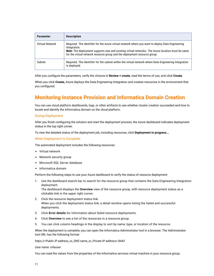<span id="page-10-0"></span>

| <b>Parameter</b> | <b>Description</b>                                                                                                                                                                                                                                                                                |
|------------------|---------------------------------------------------------------------------------------------------------------------------------------------------------------------------------------------------------------------------------------------------------------------------------------------------|
| Virtual Network  | Required. The identifier for the Azure virtual network where you want to deploy Data Engineering<br>Integration.<br>Note: The deployment supports new and existing virtual networks. The Azure location must be same<br>for the virtual network resource group and the deployment resource group. |
| Subnet           | Required. The identifier for the subnet within the virtual network where Data Engineering Integration<br>is deployed.                                                                                                                                                                             |

After you configure the parameters, verify the choices in **Review + create**, read the terms of use, and click **Create**.

When you click **Create,** Azure deploys the Data Engineering Integration and creates resources in the environment that you configured

# **Monitoring Instance Provision and Informatica Domain Creation**

You can use cloud platform dashboards, logs, or other artifacts to see whether cluster creation succeeded and how to locate and identify the Informatica domain on the cloud platform.

### During Deployment

After you finish configuring the solution and start the deployment process, the Azure dashboard indicates deployment status in the top right corner.

To view the detailed status of the deployment job, including resources, click **Deployment in progress...**

#### When Deployment is Complete

The automated deployment includes the following resources:

- **•** Virtual network
- **•** Network security group
- **•** Microsoft SQL Server database
- **•** Informatica domain

Perform the following steps to use your Azure dashboard to verify the status of resource deployment:

1. Use the dashboard search bar to search for the resource group that contains the Data Engineering Integration deployment.

The dashboard displays the **Overview** view of the resource group, with resource deployment status as a clickable link in the upper right corner.

- 2. Click the resource deployment status link. When you click the deployment status link, a detail window opens listing the failed and successful deployments.
- 3. Click **Error details** for information about failed resource deployments.
- 4. Click **Overview** to see a list of the resources in a resource group.
- 5. You can click column headings in the display to sort by name, type, or location of the resource.

When the deployment is complete, you can open the Informatica Administrator tool in a browser. The Administrator tool URL has the following format:

*https://<Public IP address\_or\_DNS name\_or\_Private IP address>:8443*

#### *User name: infauser*

You can read the values from the properties of the Informatica services virtual machine in your resource group.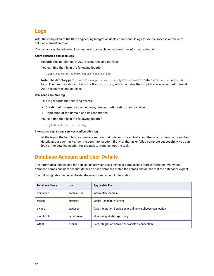# <span id="page-11-0"></span>**Logs**

After the completion of the Data Engineering Integration deployment, consult logs to see the success or failure of solution element creation.

You can access the following logs on the virtual machine that hosts the Informatica domain:

#### **Azure extension operation logs**

Records the installation of Azure resources and services.

You can find the file in the following location:

```
/var/log/azure/custom-script/handler.log
```
**Note:** The directory path /var/lib/waagent/custom-script/download/0 contains the stdout and stderr logs. The directory also contains the file convert.sh, which contains the script that was executed to install Azure resources and services.

### **Command execution log**

This log records the following events:

- **•** Creation of Informatica connections, cluster configurations, and services.
- **•** Population of the domain and its repositories.

You can find the file in the following location:

/opt/Oneclicksolution.log

#### **Informatica domain and services configuration log**

At the top of the log file is a summary section that lists automated tasks and their status. You can view the details about each task under the summary section. If any of the tasks failed complete successfully, you can look at the detailed section for the task to troubleshoot the task.

# **Database Account and User Details**

The Informatica domain and the application services use a series of databases to store information. Verify that database names and user account details on each database match the names and details that the databases expect.

The following table describes the database and user account information:

| <b>Database Name</b> | <b>User</b> | <b>Applicable For</b>                                      |  |
|----------------------|-------------|------------------------------------------------------------|--|
| domaindb             | domainuser  | Informatica Domain                                         |  |
| mrsdb                | mrsuser     | <b>Model Repository Service</b>                            |  |
| pwhdb                | pwduser     | Data Integration Service as profiling warehouse connection |  |
| monitordb            | monitoruser | Monitoring Model repository                                |  |
| wfhdb                | wfhuser     | Data Integration Service as workflow connection            |  |